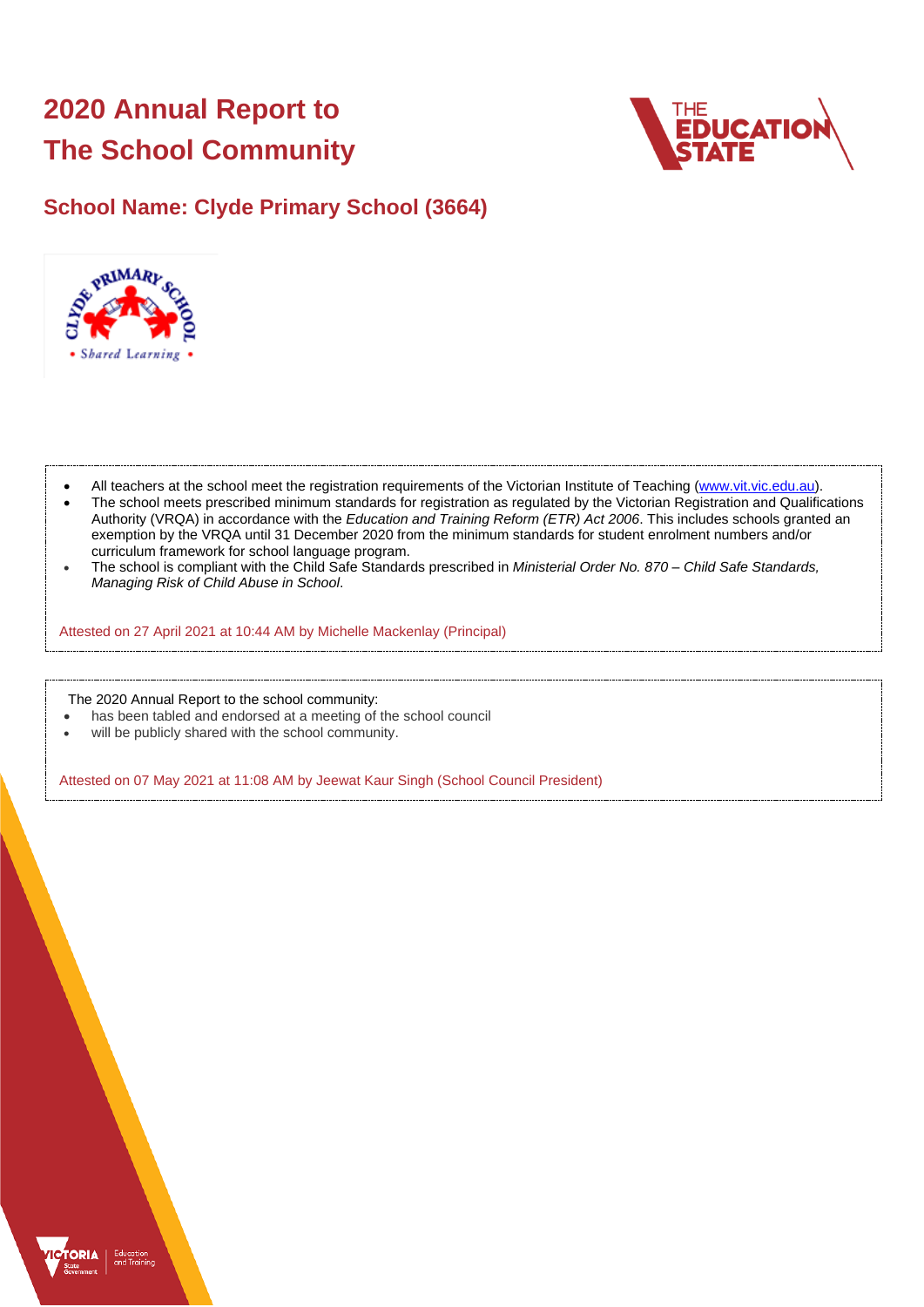# **2020 Annual Report to The School Community**



## **School Name: Clyde Primary School (3664)**



- All teachers at the school meet the registration requirements of the Victorian Institute of Teaching [\(www.vit.vic.edu.au\)](https://www.vit.vic.edu.au/).
- The school meets prescribed minimum standards for registration as regulated by the Victorian Registration and Qualifications Authority (VRQA) in accordance with the *Education and Training Reform (ETR) Act 2006*. This includes schools granted an exemption by the VRQA until 31 December 2020 from the minimum standards for student enrolment numbers and/or curriculum framework for school language program.
- The school is compliant with the Child Safe Standards prescribed in *Ministerial Order No. 870 – Child Safe Standards, Managing Risk of Child Abuse in School*.

Attested on 27 April 2021 at 10:44 AM by Michelle Mackenlay (Principal)

The 2020 Annual Report to the school community:

- has been tabled and endorsed at a meeting of the school council
- will be publicly shared with the school community.

Attested on 07 May 2021 at 11:08 AM by Jeewat Kaur Singh (School Council President)

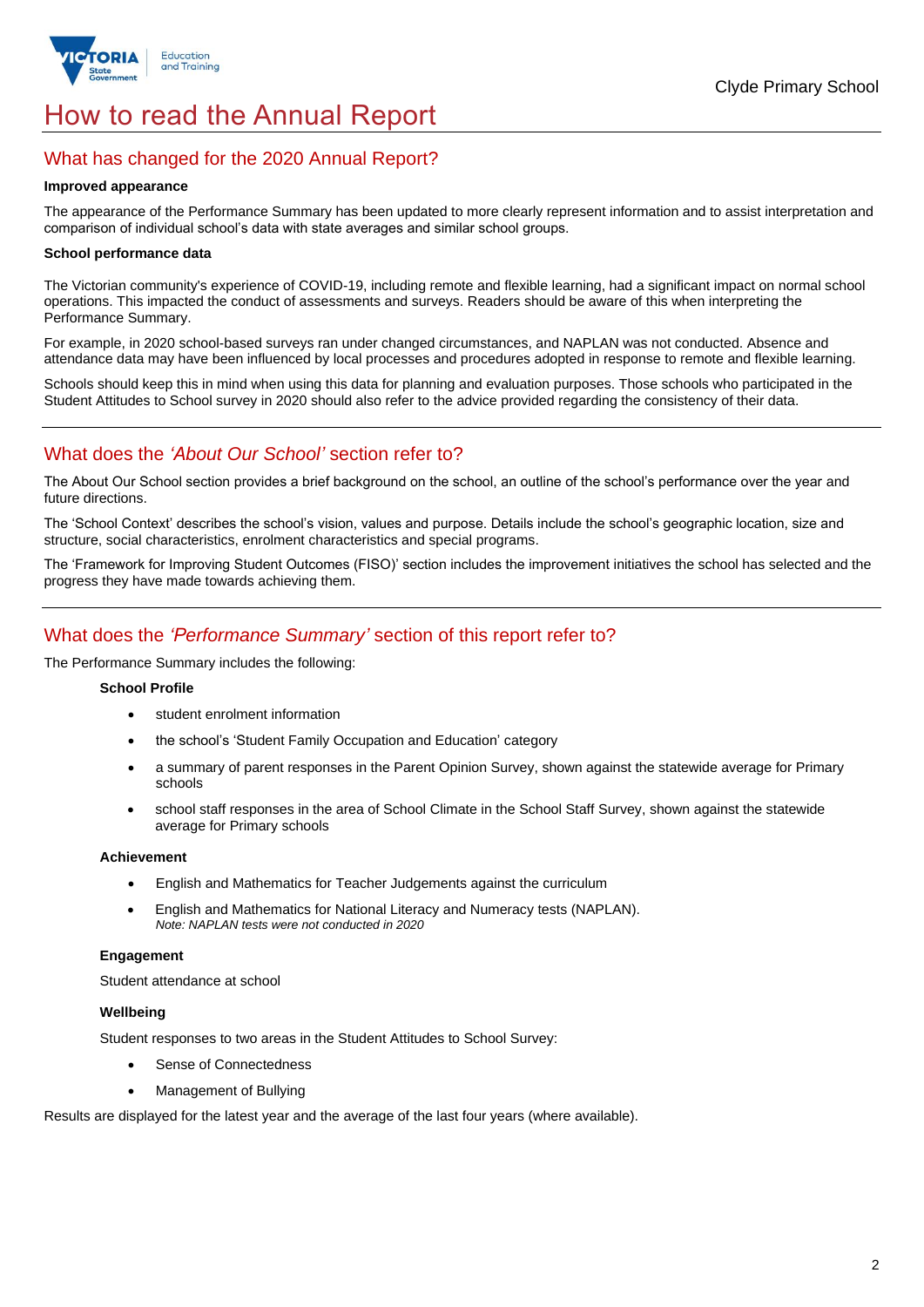

## How to read the Annual Report

## What has changed for the 2020 Annual Report?

#### **Improved appearance**

The appearance of the Performance Summary has been updated to more clearly represent information and to assist interpretation and comparison of individual school's data with state averages and similar school groups.

#### **School performance data**

The Victorian community's experience of COVID-19, including remote and flexible learning, had a significant impact on normal school operations. This impacted the conduct of assessments and surveys. Readers should be aware of this when interpreting the Performance Summary.

For example, in 2020 school-based surveys ran under changed circumstances, and NAPLAN was not conducted. Absence and attendance data may have been influenced by local processes and procedures adopted in response to remote and flexible learning.

Schools should keep this in mind when using this data for planning and evaluation purposes. Those schools who participated in the Student Attitudes to School survey in 2020 should also refer to the advice provided regarding the consistency of their data.

## What does the *'About Our School'* section refer to?

The About Our School section provides a brief background on the school, an outline of the school's performance over the year and future directions.

The 'School Context' describes the school's vision, values and purpose. Details include the school's geographic location, size and structure, social characteristics, enrolment characteristics and special programs.

The 'Framework for Improving Student Outcomes (FISO)' section includes the improvement initiatives the school has selected and the progress they have made towards achieving them.

## What does the *'Performance Summary'* section of this report refer to?

The Performance Summary includes the following:

#### **School Profile**

- student enrolment information
- the school's 'Student Family Occupation and Education' category
- a summary of parent responses in the Parent Opinion Survey, shown against the statewide average for Primary schools
- school staff responses in the area of School Climate in the School Staff Survey, shown against the statewide average for Primary schools

#### **Achievement**

- English and Mathematics for Teacher Judgements against the curriculum
- English and Mathematics for National Literacy and Numeracy tests (NAPLAN). *Note: NAPLAN tests were not conducted in 2020*

### **Engagement**

Student attendance at school

#### **Wellbeing**

Student responses to two areas in the Student Attitudes to School Survey:

- Sense of Connectedness
- Management of Bullying

Results are displayed for the latest year and the average of the last four years (where available).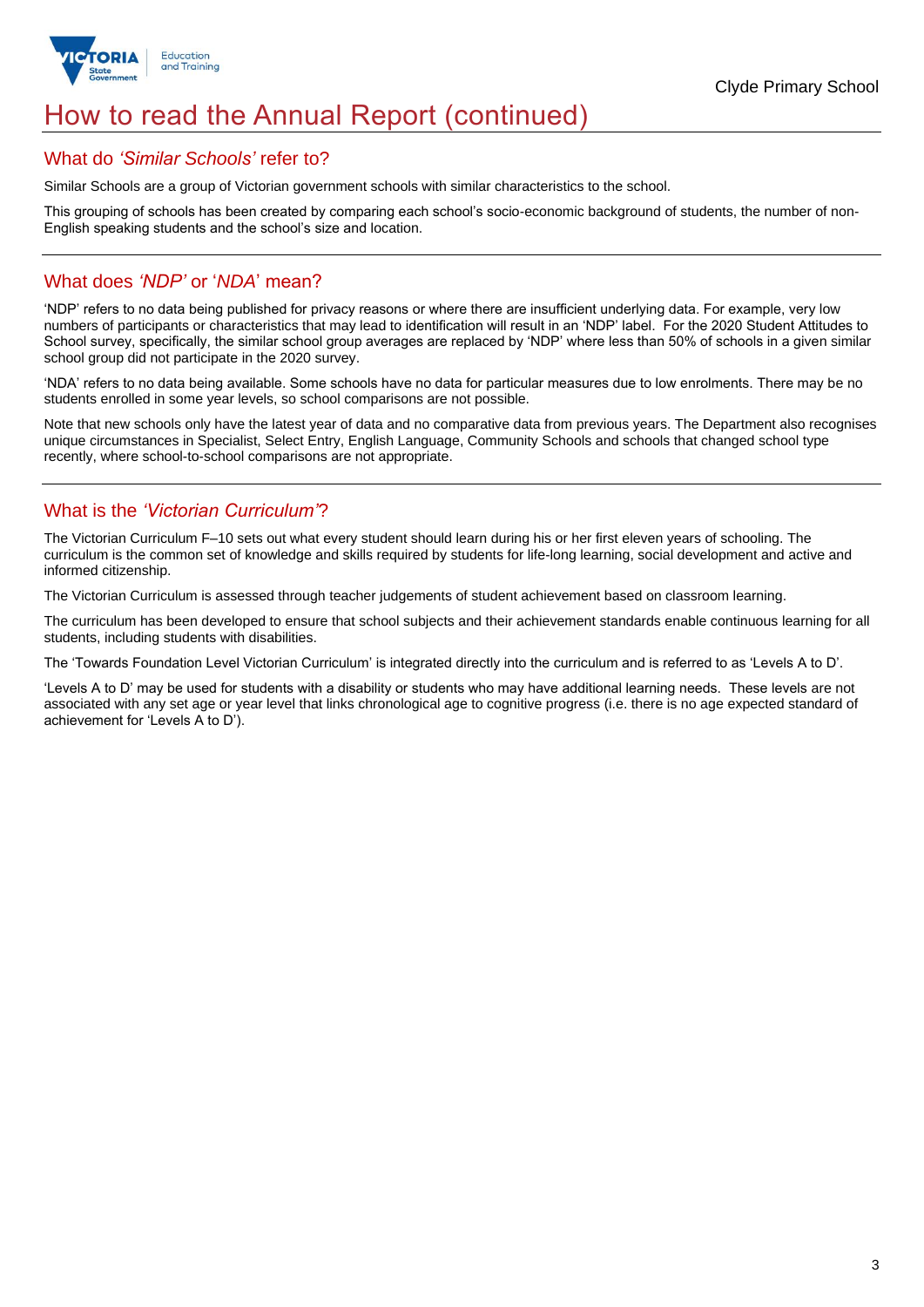

## How to read the Annual Report (continued)

## What do *'Similar Schools'* refer to?

Similar Schools are a group of Victorian government schools with similar characteristics to the school.

This grouping of schools has been created by comparing each school's socio-economic background of students, the number of non-English speaking students and the school's size and location.

## What does *'NDP'* or '*NDA*' mean?

'NDP' refers to no data being published for privacy reasons or where there are insufficient underlying data. For example, very low numbers of participants or characteristics that may lead to identification will result in an 'NDP' label. For the 2020 Student Attitudes to School survey, specifically, the similar school group averages are replaced by 'NDP' where less than 50% of schools in a given similar school group did not participate in the 2020 survey.

'NDA' refers to no data being available. Some schools have no data for particular measures due to low enrolments. There may be no students enrolled in some year levels, so school comparisons are not possible.

Note that new schools only have the latest year of data and no comparative data from previous years. The Department also recognises unique circumstances in Specialist, Select Entry, English Language, Community Schools and schools that changed school type recently, where school-to-school comparisons are not appropriate.

## What is the *'Victorian Curriculum'*?

The Victorian Curriculum F–10 sets out what every student should learn during his or her first eleven years of schooling. The curriculum is the common set of knowledge and skills required by students for life-long learning, social development and active and informed citizenship.

The Victorian Curriculum is assessed through teacher judgements of student achievement based on classroom learning.

The curriculum has been developed to ensure that school subjects and their achievement standards enable continuous learning for all students, including students with disabilities.

The 'Towards Foundation Level Victorian Curriculum' is integrated directly into the curriculum and is referred to as 'Levels A to D'.

'Levels A to D' may be used for students with a disability or students who may have additional learning needs. These levels are not associated with any set age or year level that links chronological age to cognitive progress (i.e. there is no age expected standard of achievement for 'Levels A to D').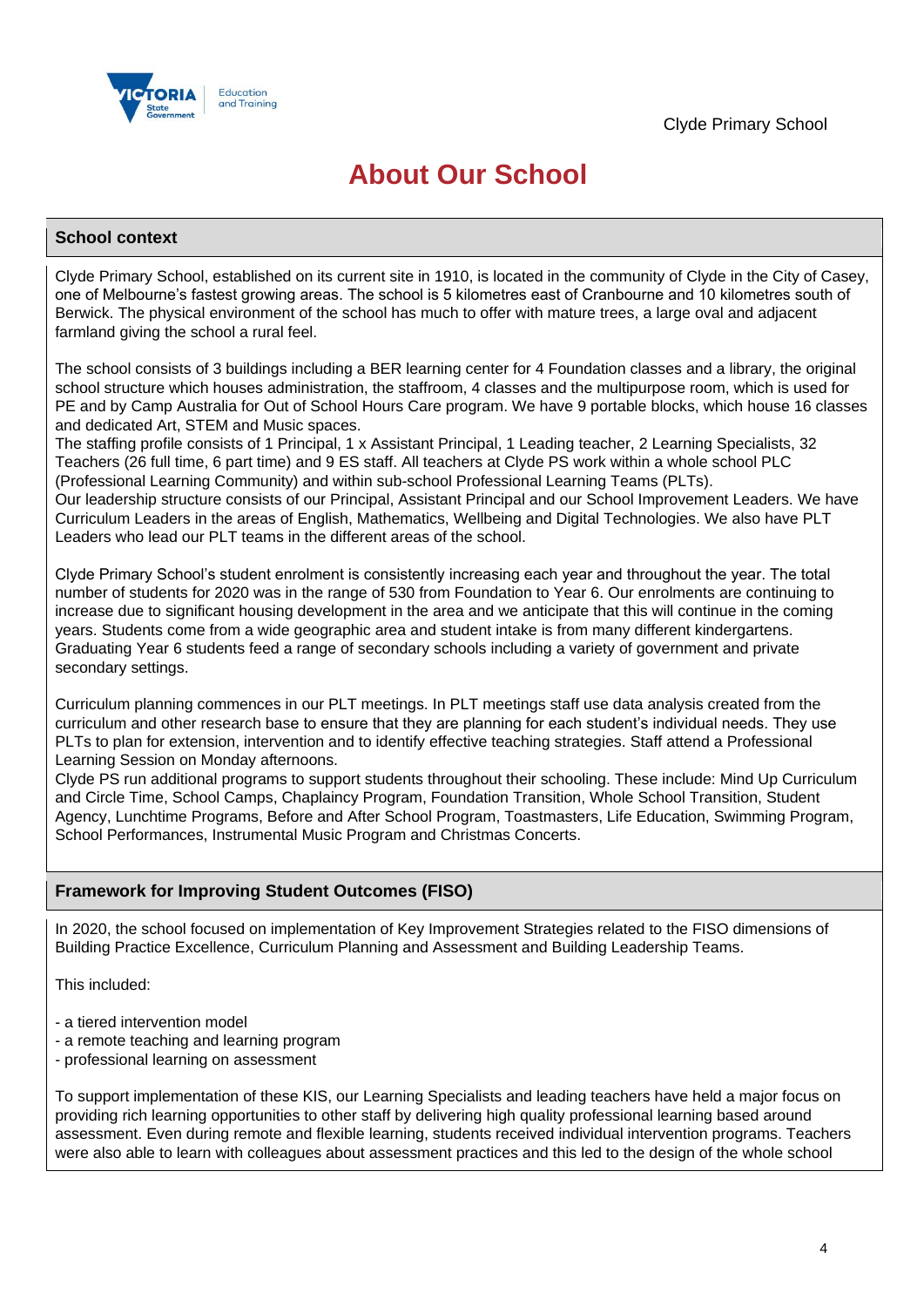

## **About Our School**

### **School context**

Clyde Primary School, established on its current site in 1910, is located in the community of Clyde in the City of Casey, one of Melbourne's fastest growing areas. The school is 5 kilometres east of Cranbourne and 10 kilometres south of Berwick. The physical environment of the school has much to offer with mature trees, a large oval and adjacent farmland giving the school a rural feel.

The school consists of 3 buildings including a BER learning center for 4 Foundation classes and a library, the original school structure which houses administration, the staffroom, 4 classes and the multipurpose room, which is used for PE and by Camp Australia for Out of School Hours Care program. We have 9 portable blocks, which house 16 classes and dedicated Art, STEM and Music spaces.

The staffing profile consists of 1 Principal, 1 x Assistant Principal, 1 Leading teacher, 2 Learning Specialists, 32 Teachers (26 full time, 6 part time) and 9 ES staff. All teachers at Clyde PS work within a whole school PLC (Professional Learning Community) and within sub-school Professional Learning Teams (PLTs). Our leadership structure consists of our Principal, Assistant Principal and our School Improvement Leaders. We have

Curriculum Leaders in the areas of English, Mathematics, Wellbeing and Digital Technologies. We also have PLT Leaders who lead our PLT teams in the different areas of the school.

Clyde Primary School's student enrolment is consistently increasing each year and throughout the year. The total number of students for 2020 was in the range of 530 from Foundation to Year 6. Our enrolments are continuing to increase due to significant housing development in the area and we anticipate that this will continue in the coming years. Students come from a wide geographic area and student intake is from many different kindergartens. Graduating Year 6 students feed a range of secondary schools including a variety of government and private secondary settings.

Curriculum planning commences in our PLT meetings. In PLT meetings staff use data analysis created from the curriculum and other research base to ensure that they are planning for each student's individual needs. They use PLTs to plan for extension, intervention and to identify effective teaching strategies. Staff attend a Professional Learning Session on Monday afternoons.

Clyde PS run additional programs to support students throughout their schooling. These include: Mind Up Curriculum and Circle Time, School Camps, Chaplaincy Program, Foundation Transition, Whole School Transition, Student Agency, Lunchtime Programs, Before and After School Program, Toastmasters, Life Education, Swimming Program, School Performances, Instrumental Music Program and Christmas Concerts.

## **Framework for Improving Student Outcomes (FISO)**

In 2020, the school focused on implementation of Key Improvement Strategies related to the FISO dimensions of Building Practice Excellence, Curriculum Planning and Assessment and Building Leadership Teams.

This included:

- a tiered intervention model
- a remote teaching and learning program
- professional learning on assessment

To support implementation of these KIS, our Learning Specialists and leading teachers have held a major focus on providing rich learning opportunities to other staff by delivering high quality professional learning based around assessment. Even during remote and flexible learning, students received individual intervention programs. Teachers were also able to learn with colleagues about assessment practices and this led to the design of the whole school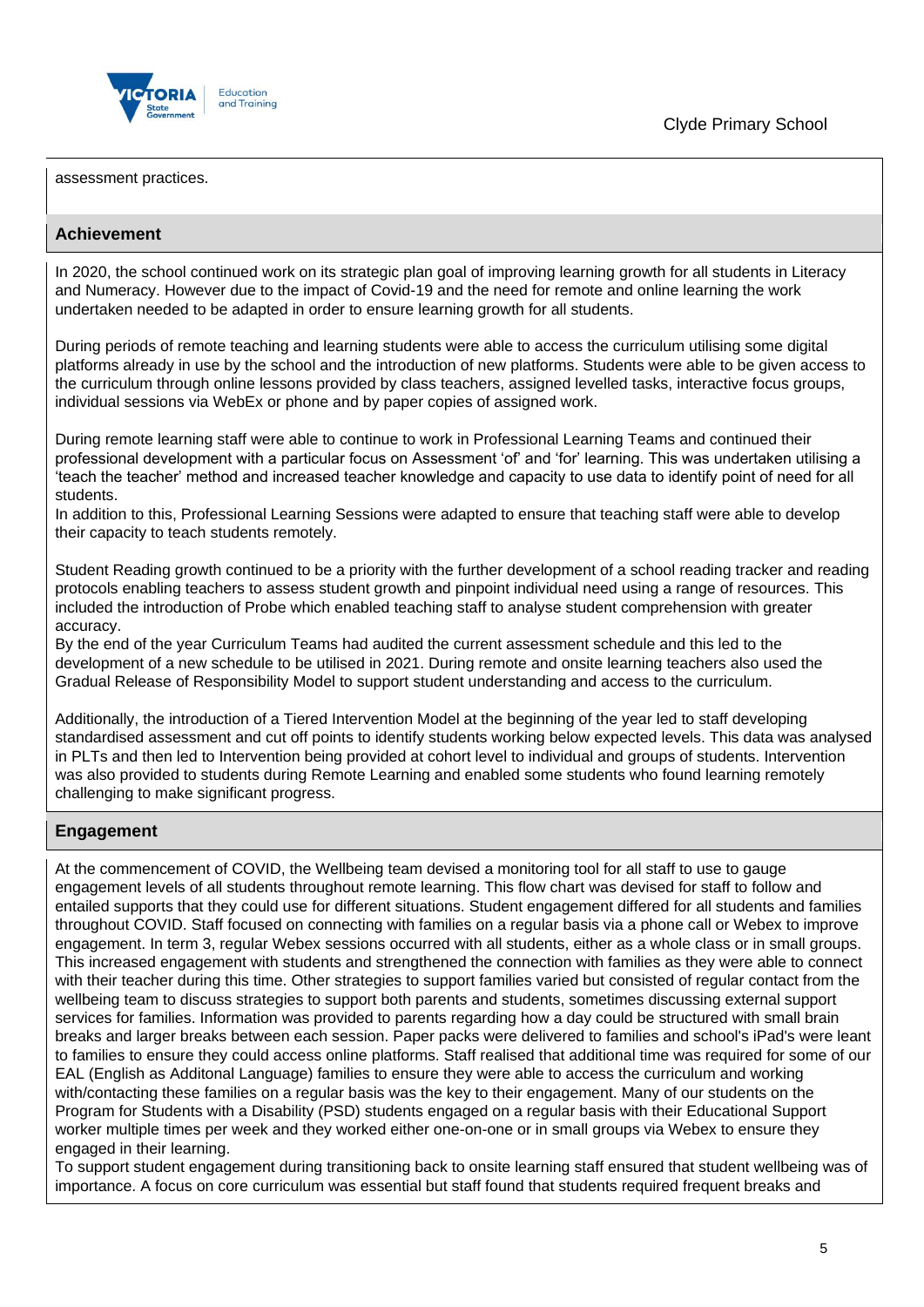

assessment practices.

### **Achievement**

In 2020, the school continued work on its strategic plan goal of improving learning growth for all students in Literacy and Numeracy. However due to the impact of Covid-19 and the need for remote and online learning the work undertaken needed to be adapted in order to ensure learning growth for all students.

During periods of remote teaching and learning students were able to access the curriculum utilising some digital platforms already in use by the school and the introduction of new platforms. Students were able to be given access to the curriculum through online lessons provided by class teachers, assigned levelled tasks, interactive focus groups, individual sessions via WebEx or phone and by paper copies of assigned work.

During remote learning staff were able to continue to work in Professional Learning Teams and continued their professional development with a particular focus on Assessment 'of' and 'for' learning. This was undertaken utilising a 'teach the teacher' method and increased teacher knowledge and capacity to use data to identify point of need for all students.

In addition to this, Professional Learning Sessions were adapted to ensure that teaching staff were able to develop their capacity to teach students remotely.

Student Reading growth continued to be a priority with the further development of a school reading tracker and reading protocols enabling teachers to assess student growth and pinpoint individual need using a range of resources. This included the introduction of Probe which enabled teaching staff to analyse student comprehension with greater accuracy.

By the end of the year Curriculum Teams had audited the current assessment schedule and this led to the development of a new schedule to be utilised in 2021. During remote and onsite learning teachers also used the Gradual Release of Responsibility Model to support student understanding and access to the curriculum.

Additionally, the introduction of a Tiered Intervention Model at the beginning of the year led to staff developing standardised assessment and cut off points to identify students working below expected levels. This data was analysed in PLTs and then led to Intervention being provided at cohort level to individual and groups of students. Intervention was also provided to students during Remote Learning and enabled some students who found learning remotely challenging to make significant progress.

## **Engagement**

At the commencement of COVID, the Wellbeing team devised a monitoring tool for all staff to use to gauge engagement levels of all students throughout remote learning. This flow chart was devised for staff to follow and entailed supports that they could use for different situations. Student engagement differed for all students and families throughout COVID. Staff focused on connecting with families on a regular basis via a phone call or Webex to improve engagement. In term 3, regular Webex sessions occurred with all students, either as a whole class or in small groups. This increased engagement with students and strengthened the connection with families as they were able to connect with their teacher during this time. Other strategies to support families varied but consisted of regular contact from the wellbeing team to discuss strategies to support both parents and students, sometimes discussing external support services for families. Information was provided to parents regarding how a day could be structured with small brain breaks and larger breaks between each session. Paper packs were delivered to families and school's iPad's were leant to families to ensure they could access online platforms. Staff realised that additional time was required for some of our EAL (English as Additonal Language) families to ensure they were able to access the curriculum and working with/contacting these families on a regular basis was the key to their engagement. Many of our students on the Program for Students with a Disability (PSD) students engaged on a regular basis with their Educational Support worker multiple times per week and they worked either one-on-one or in small groups via Webex to ensure they engaged in their learning.

To support student engagement during transitioning back to onsite learning staff ensured that student wellbeing was of importance. A focus on core curriculum was essential but staff found that students required frequent breaks and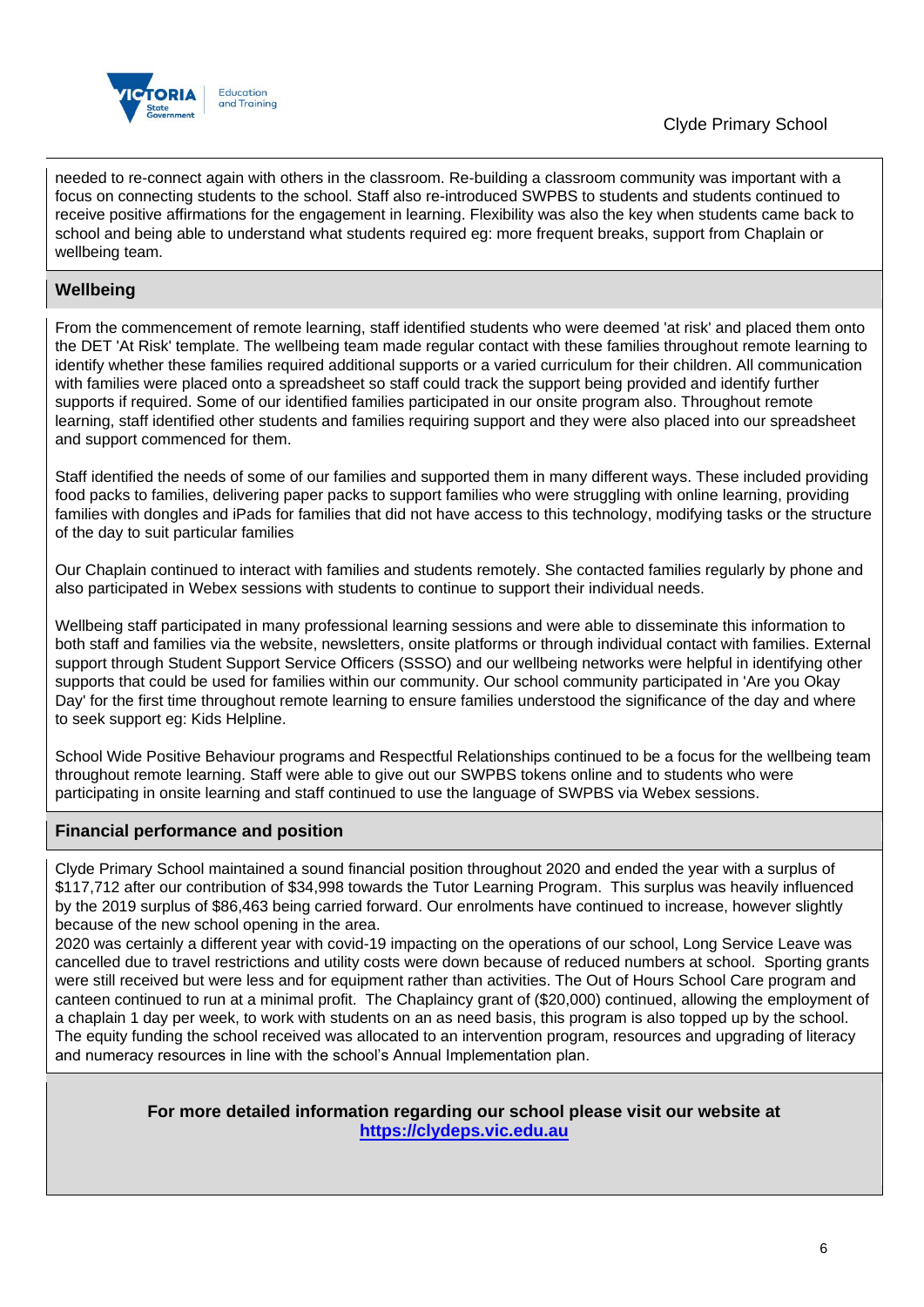

needed to re-connect again with others in the classroom. Re-building a classroom community was important with a focus on connecting students to the school. Staff also re-introduced SWPBS to students and students continued to receive positive affirmations for the engagement in learning. Flexibility was also the key when students came back to school and being able to understand what students required eg: more frequent breaks, support from Chaplain or wellbeing team.

## **Wellbeing**

From the commencement of remote learning, staff identified students who were deemed 'at risk' and placed them onto the DET 'At Risk' template. The wellbeing team made regular contact with these families throughout remote learning to identify whether these families required additional supports or a varied curriculum for their children. All communication with families were placed onto a spreadsheet so staff could track the support being provided and identify further supports if required. Some of our identified families participated in our onsite program also. Throughout remote learning, staff identified other students and families requiring support and they were also placed into our spreadsheet and support commenced for them.

Staff identified the needs of some of our families and supported them in many different ways. These included providing food packs to families, delivering paper packs to support families who were struggling with online learning, providing families with dongles and iPads for families that did not have access to this technology, modifying tasks or the structure of the day to suit particular families

Our Chaplain continued to interact with families and students remotely. She contacted families regularly by phone and also participated in Webex sessions with students to continue to support their individual needs.

Wellbeing staff participated in many professional learning sessions and were able to disseminate this information to both staff and families via the website, newsletters, onsite platforms or through individual contact with families. External support through Student Support Service Officers (SSSO) and our wellbeing networks were helpful in identifying other supports that could be used for families within our community. Our school community participated in 'Are you Okay Day' for the first time throughout remote learning to ensure families understood the significance of the day and where to seek support eg: Kids Helpline.

School Wide Positive Behaviour programs and Respectful Relationships continued to be a focus for the wellbeing team throughout remote learning. Staff were able to give out our SWPBS tokens online and to students who were participating in onsite learning and staff continued to use the language of SWPBS via Webex sessions.

## **Financial performance and position**

Clyde Primary School maintained a sound financial position throughout 2020 and ended the year with a surplus of \$117,712 after our contribution of \$34,998 towards the Tutor Learning Program. This surplus was heavily influenced by the 2019 surplus of \$86,463 being carried forward. Our enrolments have continued to increase, however slightly because of the new school opening in the area.

2020 was certainly a different year with covid-19 impacting on the operations of our school, Long Service Leave was cancelled due to travel restrictions and utility costs were down because of reduced numbers at school. Sporting grants were still received but were less and for equipment rather than activities. The Out of Hours School Care program and canteen continued to run at a minimal profit. The Chaplaincy grant of (\$20,000) continued, allowing the employment of a chaplain 1 day per week, to work with students on an as need basis, this program is also topped up by the school. The equity funding the school received was allocated to an intervention program, resources and upgrading of literacy and numeracy resources in line with the school's Annual Implementation plan.

> **For more detailed information regarding our school please visit our website at [https://clydeps.vic.edu.au](https://clydeps.vic.edu.au/)**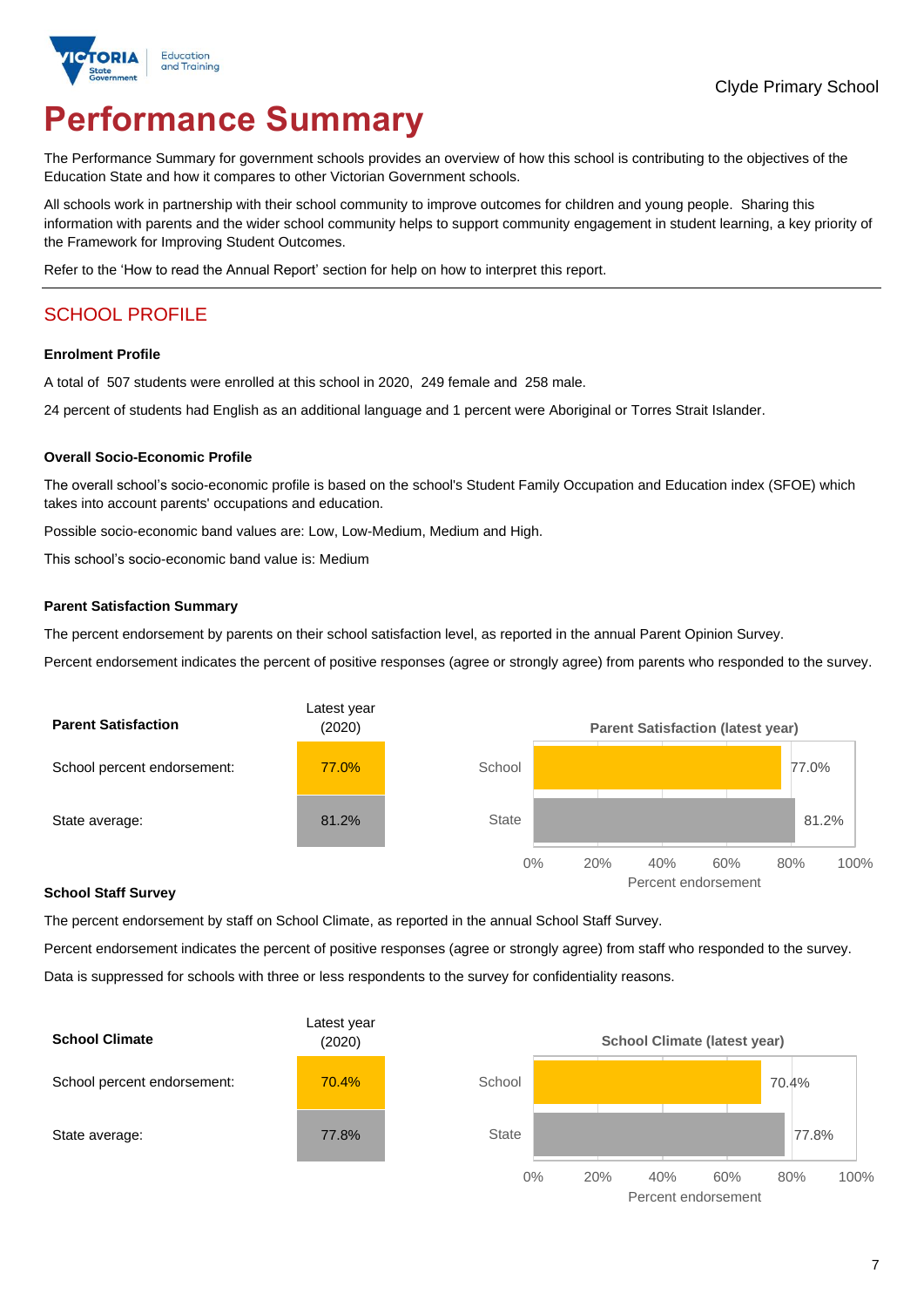

# **Performance Summary**

The Performance Summary for government schools provides an overview of how this school is contributing to the objectives of the Education State and how it compares to other Victorian Government schools.

All schools work in partnership with their school community to improve outcomes for children and young people. Sharing this information with parents and the wider school community helps to support community engagement in student learning, a key priority of the Framework for Improving Student Outcomes.

Refer to the 'How to read the Annual Report' section for help on how to interpret this report.

## SCHOOL PROFILE

#### **Enrolment Profile**

A total of 507 students were enrolled at this school in 2020, 249 female and 258 male.

24 percent of students had English as an additional language and 1 percent were Aboriginal or Torres Strait Islander.

#### **Overall Socio-Economic Profile**

The overall school's socio-economic profile is based on the school's Student Family Occupation and Education index (SFOE) which takes into account parents' occupations and education.

Possible socio-economic band values are: Low, Low-Medium, Medium and High.

This school's socio-economic band value is: Medium

#### **Parent Satisfaction Summary**

The percent endorsement by parents on their school satisfaction level, as reported in the annual Parent Opinion Survey.

Percent endorsement indicates the percent of positive responses (agree or strongly agree) from parents who responded to the survey.



#### **School Staff Survey**

The percent endorsement by staff on School Climate, as reported in the annual School Staff Survey.

Percent endorsement indicates the percent of positive responses (agree or strongly agree) from staff who responded to the survey. Data is suppressed for schools with three or less respondents to the survey for confidentiality reasons.



Percent endorsement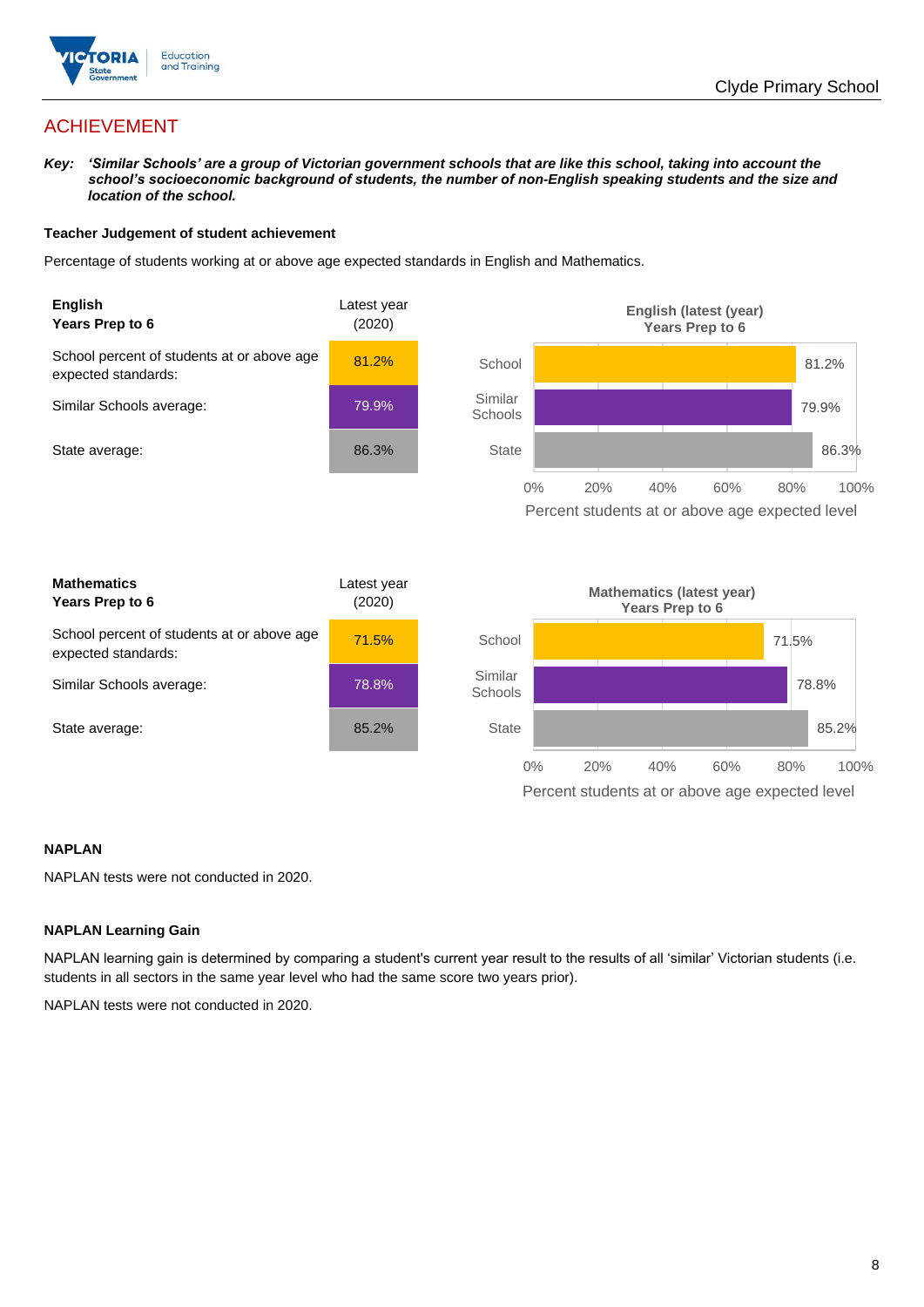

## ACHIEVEMENT

*Key: 'Similar Schools' are a group of Victorian government schools that are like this school, taking into account the*  school's socioeconomic background of students, the number of non-English speaking students and the size and *location of the school.*

#### **Teacher Judgement of student achievement**

Percentage of students working at or above age expected standards in English and Mathematics.



#### **NAPLAN**

NAPLAN tests were not conducted in 2020.

#### **NAPLAN Learning Gain**

NAPLAN learning gain is determined by comparing a student's current year result to the results of all 'similar' Victorian students (i.e. students in all sectors in the same year level who had the same score two years prior).

NAPLAN tests were not conducted in 2020.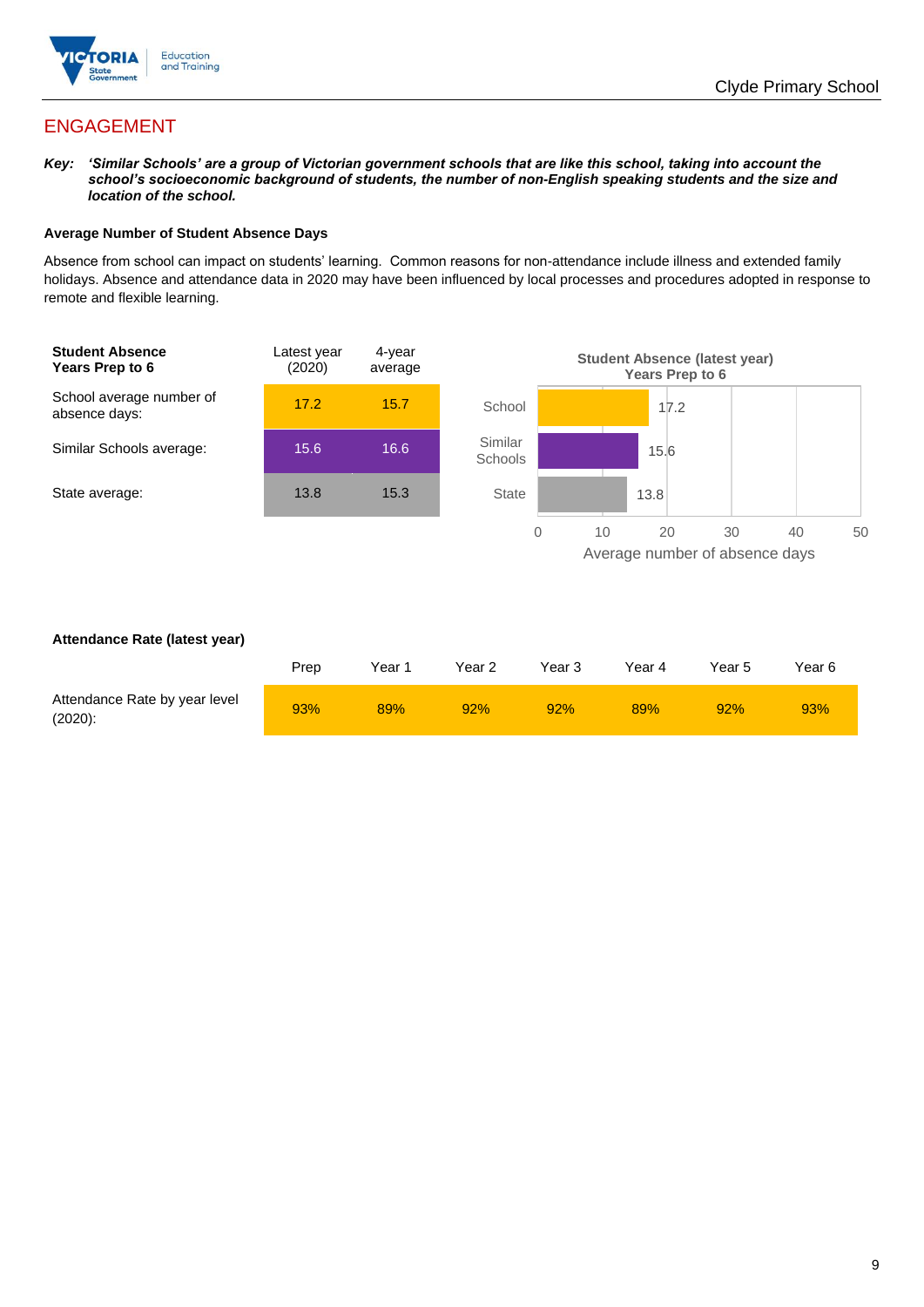

## ENGAGEMENT

*Key: 'Similar Schools' are a group of Victorian government schools that are like this school, taking into account the school's socioeconomic background of students, the number of non-English speaking students and the size and location of the school.*

#### **Average Number of Student Absence Days**

Absence from school can impact on students' learning. Common reasons for non-attendance include illness and extended family holidays. Absence and attendance data in 2020 may have been influenced by local processes and procedures adopted in response to remote and flexible learning.



#### **Attendance Rate (latest year)**

|                                             | Prep | Year 1 | Year 2 | Year 3 | Year 4 | Year 5 | Year 6 |
|---------------------------------------------|------|--------|--------|--------|--------|--------|--------|
| Attendance Rate by year level<br>$(2020)$ : | 93%  | 89%    | 92%    | 92%    | 89%    | 92%    | 93%    |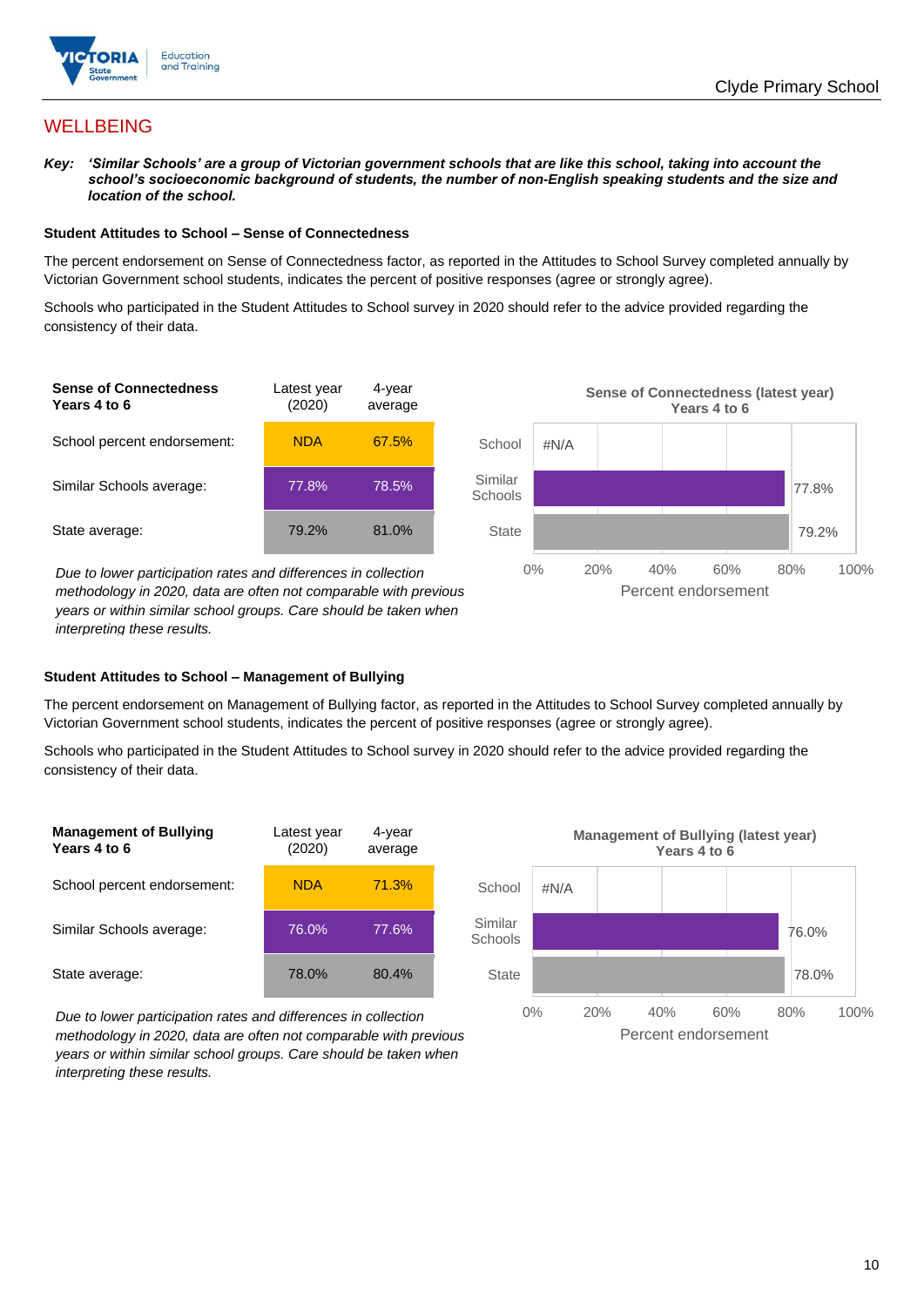

## **WELLBEING**

*Key: 'Similar Schools' are a group of Victorian government schools that are like this school, taking into account the*  school's socioeconomic background of students, the number of non-English speaking students and the size and *location of the school.*

#### **Student Attitudes to School – Sense of Connectedness**

The percent endorsement on Sense of Connectedness factor, as reported in the Attitudes to School Survey completed annually by Victorian Government school students, indicates the percent of positive responses (agree or strongly agree).

Schools who participated in the Student Attitudes to School survey in 2020 should refer to the advice provided regarding the consistency of their data.



*years or within similar school groups. Care should be taken when interpreting these results.*

#### **Student Attitudes to School – Management of Bullying**

The percent endorsement on Management of Bullying factor, as reported in the Attitudes to School Survey completed annually by Victorian Government school students, indicates the percent of positive responses (agree or strongly agree).

Schools who participated in the Student Attitudes to School survey in 2020 should refer to the advice provided regarding the consistency of their data.



*Due to lower participation rates and differences in collection methodology in 2020, data are often not comparable with previous years or within similar school groups. Care should be taken when interpreting these results.*

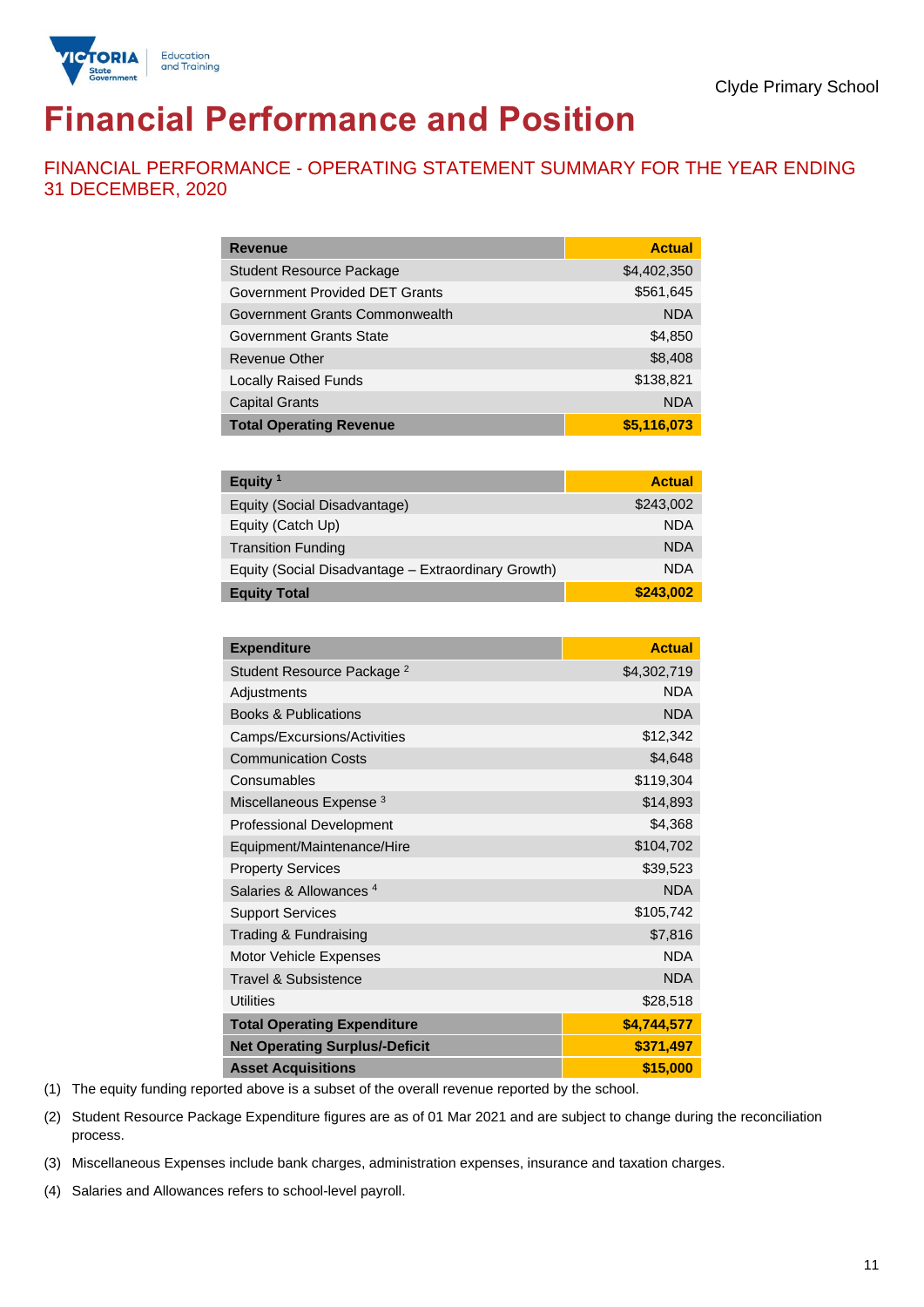

# **Financial Performance and Position**

FINANCIAL PERFORMANCE - OPERATING STATEMENT SUMMARY FOR THE YEAR ENDING 31 DECEMBER, 2020

| <b>Revenue</b>                  | <b>Actual</b> |
|---------------------------------|---------------|
| <b>Student Resource Package</b> | \$4,402,350   |
| Government Provided DET Grants  | \$561,645     |
| Government Grants Commonwealth  | <b>NDA</b>    |
| Government Grants State         | \$4,850       |
| Revenue Other                   | \$8,408       |
| <b>Locally Raised Funds</b>     | \$138,821     |
| <b>Capital Grants</b>           | <b>NDA</b>    |
| <b>Total Operating Revenue</b>  | \$5,116,073   |

| Equity <sup>1</sup>                                 | <b>Actual</b> |
|-----------------------------------------------------|---------------|
| Equity (Social Disadvantage)                        | \$243,002     |
| Equity (Catch Up)                                   | <b>NDA</b>    |
| <b>Transition Funding</b>                           | <b>NDA</b>    |
| Equity (Social Disadvantage - Extraordinary Growth) | <b>NDA</b>    |
| <b>Equity Total</b>                                 | \$243,002     |

| <b>Expenditure</b>                    | <b>Actual</b> |
|---------------------------------------|---------------|
| Student Resource Package <sup>2</sup> | \$4,302,719   |
| Adjustments                           | <b>NDA</b>    |
| <b>Books &amp; Publications</b>       | <b>NDA</b>    |
| Camps/Excursions/Activities           | \$12,342      |
| <b>Communication Costs</b>            | \$4,648       |
| Consumables                           | \$119,304     |
| Miscellaneous Expense <sup>3</sup>    | \$14,893      |
| <b>Professional Development</b>       | \$4,368       |
| Equipment/Maintenance/Hire            | \$104,702     |
| <b>Property Services</b>              | \$39,523      |
| Salaries & Allowances <sup>4</sup>    | <b>NDA</b>    |
| <b>Support Services</b>               | \$105,742     |
| Trading & Fundraising                 | \$7,816       |
| Motor Vehicle Expenses                | <b>NDA</b>    |
| <b>Travel &amp; Subsistence</b>       | <b>NDA</b>    |
| <b>Utilities</b>                      | \$28,518      |
| <b>Total Operating Expenditure</b>    | \$4,744,577   |
| <b>Net Operating Surplus/-Deficit</b> | \$371,497     |
| <b>Asset Acquisitions</b>             | \$15,000      |

(1) The equity funding reported above is a subset of the overall revenue reported by the school.

(2) Student Resource Package Expenditure figures are as of 01 Mar 2021 and are subject to change during the reconciliation process.

(3) Miscellaneous Expenses include bank charges, administration expenses, insurance and taxation charges.

(4) Salaries and Allowances refers to school-level payroll.